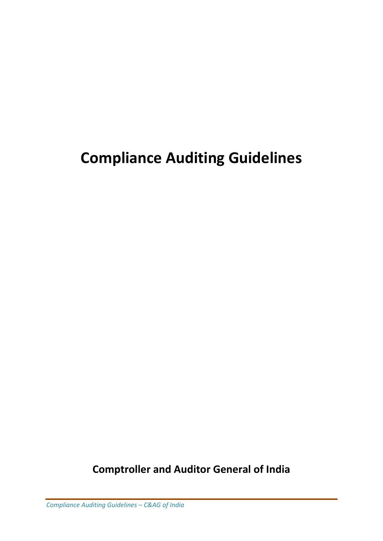# **Compliance Auditing Guidelines**

**Comptroller and Auditor General of India**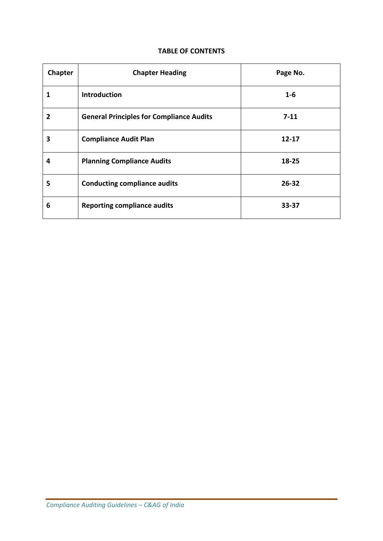#### **TABLE OF CONTENTS**

| Chapter | <b>Chapter Heading</b>                          | Page No.  |  |
|---------|-------------------------------------------------|-----------|--|
| 1       | <b>Introduction</b>                             | $1 - 6$   |  |
| 2       | <b>General Principles for Compliance Audits</b> | $7 - 11$  |  |
| 3       | <b>Compliance Audit Plan</b>                    | $12 - 17$ |  |
| 4       | <b>Planning Compliance Audits</b>               | 18-25     |  |
| 5       | <b>Conducting compliance audits</b>             | $26 - 32$ |  |
| 6       | <b>Reporting compliance audits</b>              | 33-37     |  |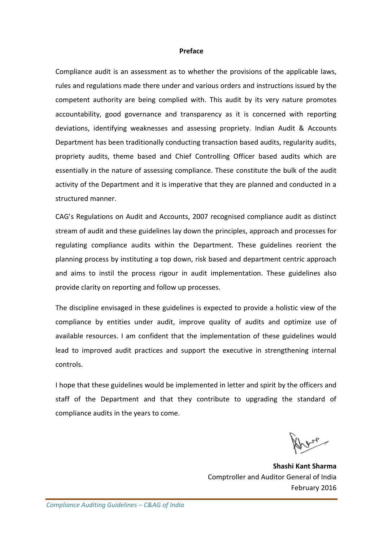#### **Preface**

Compliance audit is an assessment as to whether the provisions of the applicable laws, rules and regulations made there under and various orders and instructions issued by the competent authority are being complied with. This audit by its very nature promotes accountability, good governance and transparency as it is concerned with reporting deviations, identifying weaknesses and assessing propriety. Indian Audit & Accounts Department has been traditionally conducting transaction based audits, regularity audits, propriety audits, theme based and Chief Controlling Officer based audits which are essentially in the nature of assessing compliance. These constitute the bulk of the audit activity of the Department and it is imperative that they are planned and conducted in a structured manner.

CAG's Regulations on Audit and Accounts, 2007 recognised compliance audit as distinct stream of audit and these guidelines lay down the principles, approach and processes for regulating compliance audits within the Department. These guidelines reorient the planning process by instituting a top down, risk based and department centric approach and aims to instil the process rigour in audit implementation. These guidelines also provide clarity on reporting and follow up processes.

The discipline envisaged in these guidelines is expected to provide a holistic view of the compliance by entities under audit, improve quality of audits and optimize use of available resources. I am confident that the implementation of these guidelines would lead to improved audit practices and support the executive in strengthening internal controls.

I hope that these guidelines would be implemented in letter and spirit by the officers and staff of the Department and that they contribute to upgrading the standard of compliance audits in the years to come.

nere

**Shashi Kant Sharma** Comptroller and Auditor General of India February 2016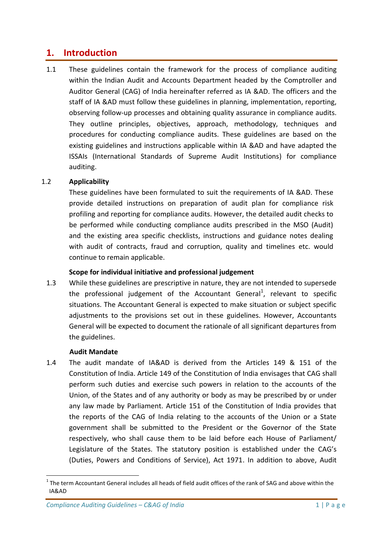# **1. Introduction**

1.1 These guidelines contain the framework for the process of compliance auditing within the Indian Audit and Accounts Department headed by the Comptroller and Auditor General (CAG) of India hereinafter referred as IA &AD. The officers and the staff of IA &AD must follow these guidelines in planning, implementation, reporting, observing follow-up processes and obtaining quality assurance in compliance audits. They outline principles, objectives, approach, methodology, techniques and procedures for conducting compliance audits. These guidelines are based on the existing guidelines and instructions applicable within IA &AD and have adapted the ISSAIs (International Standards of Supreme Audit Institutions) for compliance auditing.

### 1.2 **Applicability**

These guidelines have been formulated to suit the requirements of IA &AD. These provide detailed instructions on preparation of audit plan for compliance risk profiling and reporting for compliance audits. However, the detailed audit checks to be performed while conducting compliance audits prescribed in the MSO (Audit) and the existing area specific checklists, instructions and guidance notes dealing with audit of contracts, fraud and corruption, quality and timelines etc. would continue to remain applicable.

### **Scope for individual initiative and professional judgement**

1.3 While these guidelines are prescriptive in nature, they are not intended to supersede the professional judgement of the Accountant General<sup>1</sup>, relevant to specific situations. The Accountant General is expected to make situation or subject specific adjustments to the provisions set out in these guidelines. However, Accountants General will be expected to document the rationale of all significant departures from the guidelines.

### **Audit Mandate**

1

1.4 The audit mandate of IA&AD is derived from the Articles 149 & 151 of the Constitution of India. Article 149 of the Constitution of India envisages that CAG shall perform such duties and exercise such powers in relation to the accounts of the Union, of the States and of any authority or body as may be prescribed by or under any law made by Parliament. Article 151 of the Constitution of India provides that the reports of the CAG of India relating to the accounts of the Union or a State government shall be submitted to the President or the Governor of the State respectively, who shall cause them to be laid before each House of Parliament/ Legislature of the States. The statutory position is established under the CAG's (Duties, Powers and Conditions of Service), Act 1971. In addition to above, Audit

 $1$  The term Accountant General includes all heads of field audit offices of the rank of SAG and above within the IA&AD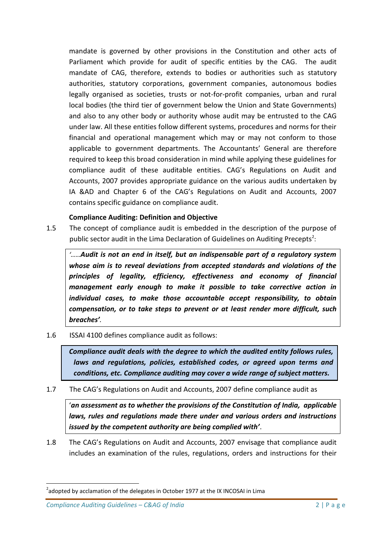mandate is governed by other provisions in the Constitution and other acts of Parliament which provide for audit of specific entities by the CAG. The audit mandate of CAG, therefore, extends to bodies or authorities such as statutory authorities, statutory corporations, government companies, autonomous bodies legally organised as societies, trusts or not-for-profit companies, urban and rural local bodies (the third tier of government below the Union and State Governments) and also to any other body or authority whose audit may be entrusted to the CAG under law. All these entities follow different systems, procedures and norms for their financial and operational management which may or may not conform to those applicable to government departments. The Accountants' General are therefore required to keep this broad consideration in mind while applying these guidelines for compliance audit of these auditable entities. CAG's Regulations on Audit and Accounts, 2007 provides appropriate guidance on the various audits undertaken by IA &AD and Chapter 6 of the CAG's Regulations on Audit and Accounts, 2007 contains specific guidance on compliance audit.

### **Compliance Auditing: Definition and Objective**

1.5 The concept of compliance audit is embedded in the description of the purpose of public sector audit in the Lima Declaration of Guidelines on Auditing Precepts<sup>2</sup>:

*'……Audit is not an end in itself, but an indispensable part of a regulatory system whose aim is to reveal deviations from accepted standards and violations of the principles of legality, efficiency, effectiveness and economy of financial management early enough to make it possible to take corrective action in individual cases, to make those accountable accept responsibility, to obtain compensation, or to take steps to prevent or at least render more difficult, such breaches'.*

1.6 ISSAI 4100 defines compliance audit as follows:

*Compliance audit deals with the degree to which the audited entity follows rules, laws and regulations, policies, established codes, or agreed upon terms and conditions, etc. Compliance auditing may cover a wide range of subject matters.* 

1.7 The CAG's Regulations on Audit and Accounts, 2007 define compliance audit as

'*an assessment as to whether the provisions of the Constitution of India, applicable laws, rules and regulations made there under and various orders and instructions issued by the competent authority are being complied with'*.

1.8 The CAG's Regulations on Audit and Accounts, 2007 envisage that compliance audit includes an examination of the rules, regulations, orders and instructions for their

*Compliance Auditing Guidelines – C&AG of India* 2 | P a g e

**.** 

 $^{2}$ adopted by acclamation of the delegates in October 1977 at the IX INCOSAI in Lima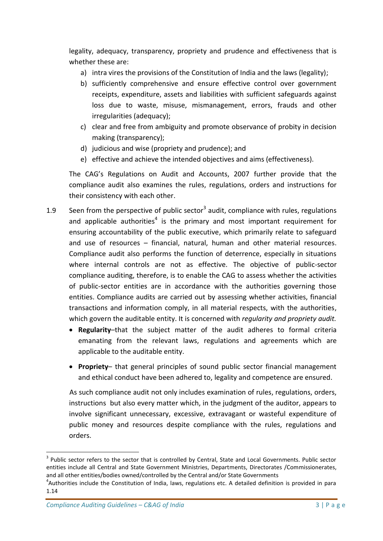legality, adequacy, transparency, propriety and prudence and effectiveness that is whether these are:

- a) intra vires the provisions of the Constitution of India and the laws (legality);
- b) sufficiently comprehensive and ensure effective control over government receipts, expenditure, assets and liabilities with sufficient safeguards against loss due to waste, misuse, mismanagement, errors, frauds and other irregularities (adequacy);
- c) clear and free from ambiguity and promote observance of probity in decision making (transparency);
- d) judicious and wise (propriety and prudence); and
- e) effective and achieve the intended objectives and aims (effectiveness).

The CAG's Regulations on Audit and Accounts, 2007 further provide that the compliance audit also examines the rules, regulations, orders and instructions for their consistency with each other.

- 1.9 Seen from the perspective of public sector<sup>3</sup> audit, compliance with rules, regulations and applicable authorities<sup>4</sup> is the primary and most important requirement for ensuring accountability of the public executive, which primarily relate to safeguard and use of resources – financial, natural, human and other material resources. Compliance audit also performs the function of deterrence, especially in situations where internal controls are not as effective. The objective of public-sector compliance auditing, therefore, is to enable the CAG to assess whether the activities of public-sector entities are in accordance with the authorities governing those entities. Compliance audits are carried out by assessing whether activities, financial transactions and information comply, in all material respects, with the authorities, which govern the auditable entity. It is concerned with *regularity and propriety audit.* 
	- **Regularity**–that the subject matter of the audit adheres to formal criteria emanating from the relevant laws, regulations and agreements which are applicable to the auditable entity.
	- **Propriety** that general principles of sound public sector financial management and ethical conduct have been adhered to, legality and competence are ensured.

As such compliance audit not only includes examination of rules, regulations, orders, instructions but also every matter which, in the judgment of the auditor, appears to involve significant unnecessary, excessive, extravagant or wasteful expenditure of public money and resources despite compliance with the rules, regulations and orders.

**.** 

<sup>&</sup>lt;sup>3</sup> Public sector refers to the sector that is controlled by Central, State and Local Governments. Public sector entities include all Central and State Government Ministries, Departments, Directorates /Commissionerates, and all other entities/bodies owned/controlled by the Central and/or State Governments

<sup>&</sup>lt;sup>4</sup>Authorities include the Constitution of India, laws, regulations etc. A detailed definition is provided in para 1.14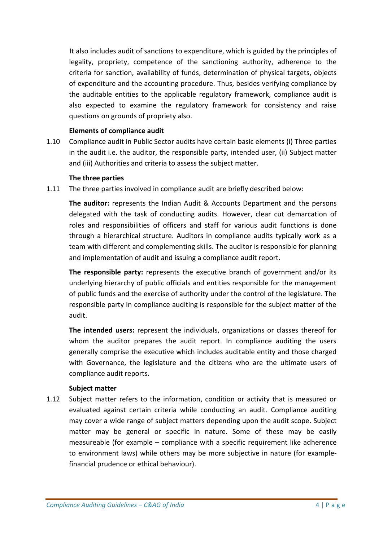It also includes audit of sanctions to expenditure, which is guided by the principles of legality, propriety, competence of the sanctioning authority, adherence to the criteria for sanction, availability of funds, determination of physical targets, objects of expenditure and the accounting procedure. Thus, besides verifying compliance by the auditable entities to the applicable regulatory framework, compliance audit is also expected to examine the regulatory framework for consistency and raise questions on grounds of propriety also.

### **Elements of compliance audit**

1.10 Compliance audit in Public Sector audits have certain basic elements (i) Three parties in the audit i.e. the auditor, the responsible party, intended user, (ii) Subject matter and (iii) Authorities and criteria to assess the subject matter.

### **The three parties**

1.11 The three parties involved in compliance audit are briefly described below:

**The auditor:** represents the Indian Audit & Accounts Department and the persons delegated with the task of conducting audits. However, clear cut demarcation of roles and responsibilities of officers and staff for various audit functions is done through a hierarchical structure. Auditors in compliance audits typically work as a team with different and complementing skills. The auditor is responsible for planning and implementation of audit and issuing a compliance audit report.

**The responsible party:** represents the executive branch of government and/or its underlying hierarchy of public officials and entities responsible for the management of public funds and the exercise of authority under the control of the legislature. The responsible party in compliance auditing is responsible for the subject matter of the audit.

**The intended users:** represent the individuals, organizations or classes thereof for whom the auditor prepares the audit report. In compliance auditing the users generally comprise the executive which includes auditable entity and those charged with Governance, the legislature and the citizens who are the ultimate users of compliance audit reports.

#### **Subject matter**

1.12 Subject matter refers to the information, condition or activity that is measured or evaluated against certain criteria while conducting an audit. Compliance auditing may cover a wide range of subject matters depending upon the audit scope. Subject matter may be general or specific in nature. Some of these may be easily measureable (for example – compliance with a specific requirement like adherence to environment laws) while others may be more subjective in nature (for examplefinancial prudence or ethical behaviour).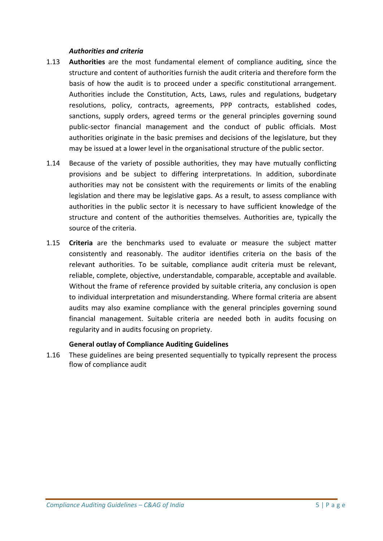### *Authorities and criteria*

- 1.13 **Authorities** are the most fundamental element of compliance auditing, since the structure and content of authorities furnish the audit criteria and therefore form the basis of how the audit is to proceed under a specific constitutional arrangement. Authorities include the Constitution, Acts, Laws, rules and regulations, budgetary resolutions, policy, contracts, agreements, PPP contracts, established codes, sanctions, supply orders, agreed terms or the general principles governing sound public-sector financial management and the conduct of public officials. Most authorities originate in the basic premises and decisions of the legislature, but they may be issued at a lower level in the organisational structure of the public sector.
- 1.14 Because of the variety of possible authorities, they may have mutually conflicting provisions and be subject to differing interpretations. In addition, subordinate authorities may not be consistent with the requirements or limits of the enabling legislation and there may be legislative gaps. As a result, to assess compliance with authorities in the public sector it is necessary to have sufficient knowledge of the structure and content of the authorities themselves. Authorities are, typically the source of the criteria.
- 1.15 **Criteria** are the benchmarks used to evaluate or measure the subject matter consistently and reasonably. The auditor identifies criteria on the basis of the relevant authorities. To be suitable, compliance audit criteria must be relevant, reliable, complete, objective, understandable, comparable, acceptable and available. Without the frame of reference provided by suitable criteria, any conclusion is open to individual interpretation and misunderstanding. Where formal criteria are absent audits may also examine compliance with the general principles governing sound financial management. Suitable criteria are needed both in audits focusing on regularity and in audits focusing on propriety.

### **General outlay of Compliance Auditing Guidelines**

1.16 These guidelines are being presented sequentially to typically represent the process flow of compliance audit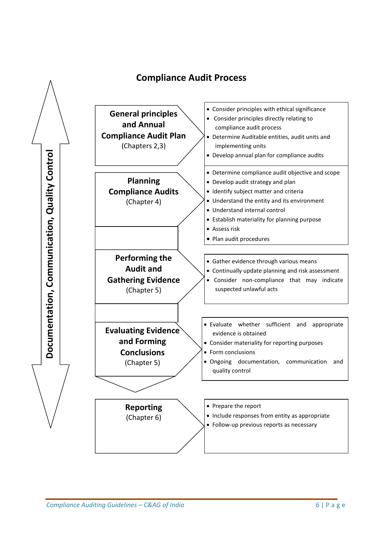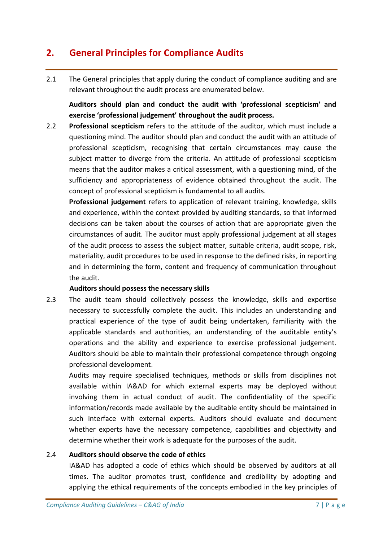# **2. General Principles for Compliance Audits**

2.1 The General principles that apply during the conduct of compliance auditing and are relevant throughout the audit process are enumerated below.

**Auditors should plan and conduct the audit with 'professional scepticism' and exercise 'professional judgement' throughout the audit process.**

2.2 **Professional scepticism** refers to the attitude of the auditor, which must include a questioning mind. The auditor should plan and conduct the audit with an attitude of professional scepticism, recognising that certain circumstances may cause the subject matter to diverge from the criteria. An attitude of professional scepticism means that the auditor makes a critical assessment, with a questioning mind, of the sufficiency and appropriateness of evidence obtained throughout the audit. The concept of professional scepticism is fundamental to all audits.

**Professional judgement** refers to application of relevant training, knowledge, skills and experience, within the context provided by auditing standards, so that informed decisions can be taken about the courses of action that are appropriate given the circumstances of audit. The auditor must apply professional judgement at all stages of the audit process to assess the subject matter, suitable criteria, audit scope, risk, materiality, audit procedures to be used in response to the defined risks, in reporting and in determining the form, content and frequency of communication throughout the audit.

### **Auditors should possess the necessary skills**

2.3 The audit team should collectively possess the knowledge, skills and expertise necessary to successfully complete the audit. This includes an understanding and practical experience of the type of audit being undertaken, familiarity with the applicable standards and authorities, an understanding of the auditable entity's operations and the ability and experience to exercise professional judgement. Auditors should be able to maintain their professional competence through ongoing professional development.

Audits may require specialised techniques, methods or skills from disciplines not available within IA&AD for which external experts may be deployed without involving them in actual conduct of audit. The confidentiality of the specific information/records made available by the auditable entity should be maintained in such interface with external experts. Auditors should evaluate and document whether experts have the necessary competence, capabilities and objectivity and determine whether their work is adequate for the purposes of the audit.

### 2.4 **Auditors should observe the code of ethics**

IA&AD has adopted a code of ethics which should be observed by auditors at all times. The auditor promotes trust, confidence and credibility by adopting and applying the ethical requirements of the concepts embodied in the key principles of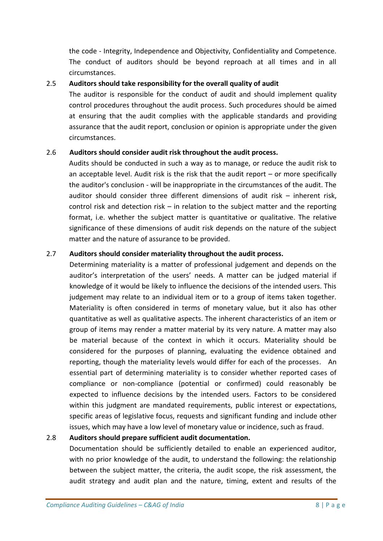the code - Integrity, Independence and Objectivity, Confidentiality and Competence. The conduct of auditors should be beyond reproach at all times and in all circumstances.

### 2.5 **Auditors should take responsibility for the overall quality of audit**

The auditor is responsible for the conduct of audit and should implement quality control procedures throughout the audit process. Such procedures should be aimed at ensuring that the audit complies with the applicable standards and providing assurance that the audit report, conclusion or opinion is appropriate under the given circumstances.

### 2.6 **Auditors should consider audit risk throughout the audit process.**

Audits should be conducted in such a way as to manage, or reduce the audit risk to an acceptable level. Audit risk is the risk that the audit report – or more specifically the auditor's conclusion - will be inappropriate in the circumstances of the audit. The auditor should consider three different dimensions of audit risk – inherent risk, control risk and detection risk – in relation to the subject matter and the reporting format, i.e. whether the subject matter is quantitative or qualitative. The relative significance of these dimensions of audit risk depends on the nature of the subject matter and the nature of assurance to be provided.

### 2.7 **Auditors should consider materiality throughout the audit process.**

Determining materiality is a matter of professional judgement and depends on the auditor's interpretation of the users' needs. A matter can be judged material if knowledge of it would be likely to influence the decisions of the intended users. This judgement may relate to an individual item or to a group of items taken together. Materiality is often considered in terms of monetary value, but it also has other quantitative as well as qualitative aspects. The inherent characteristics of an item or group of items may render a matter material by its very nature. A matter may also be material because of the context in which it occurs. Materiality should be considered for the purposes of planning, evaluating the evidence obtained and reporting, though the materiality levels would differ for each of the processes. An essential part of determining materiality is to consider whether reported cases of compliance or non-compliance (potential or confirmed) could reasonably be expected to influence decisions by the intended users. Factors to be considered within this judgment are mandated requirements, public interest or expectations, specific areas of legislative focus, requests and significant funding and include other issues, which may have a low level of monetary value or incidence, such as fraud.

### 2.8 **Auditors should prepare sufficient audit documentation.**

Documentation should be sufficiently detailed to enable an experienced auditor, with no prior knowledge of the audit, to understand the following: the relationship between the subject matter, the criteria, the audit scope, the risk assessment, the audit strategy and audit plan and the nature, timing, extent and results of the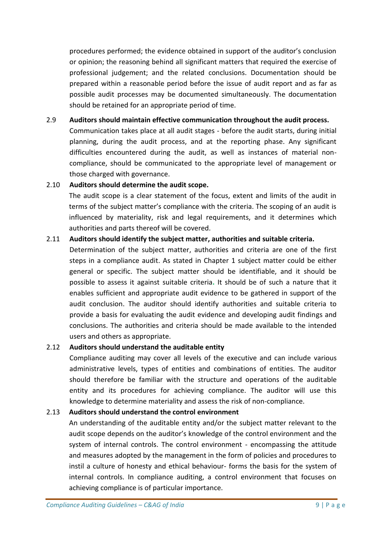procedures performed; the evidence obtained in support of the auditor's conclusion or opinion; the reasoning behind all significant matters that required the exercise of professional judgement; and the related conclusions. Documentation should be prepared within a reasonable period before the issue of audit report and as far as possible audit processes may be documented simultaneously. The documentation should be retained for an appropriate period of time.

### 2.9 **Auditors should maintain effective communication throughout the audit process.**

Communication takes place at all audit stages - before the audit starts, during initial planning, during the audit process, and at the reporting phase. Any significant difficulties encountered during the audit, as well as instances of material noncompliance, should be communicated to the appropriate level of management or those charged with governance.

### 2.10 **Auditors should determine the audit scope.**

The audit scope is a clear statement of the focus, extent and limits of the audit in terms of the subject matter's compliance with the criteria. The scoping of an audit is influenced by materiality, risk and legal requirements, and it determines which authorities and parts thereof will be covered.

### 2.11 **Auditors should identify the subject matter, authorities and suitable criteria.**

Determination of the subject matter, authorities and criteria are one of the first steps in a compliance audit. As stated in Chapter 1 subject matter could be either general or specific. The subject matter should be identifiable, and it should be possible to assess it against suitable criteria**.** It should be of such a nature that it enables sufficient and appropriate audit evidence to be gathered in support of the audit conclusion. The auditor should identify authorities and suitable criteria to provide a basis for evaluating the audit evidence and developing audit findings and conclusions. The authorities and criteria should be made available to the intended users and others as appropriate.

### 2.12 **Auditors should understand the auditable entity**

Compliance auditing may cover all levels of the executive and can include various administrative levels, types of entities and combinations of entities. The auditor should therefore be familiar with the structure and operations of the auditable entity and its procedures for achieving compliance. The auditor will use this knowledge to determine materiality and assess the risk of non-compliance.

### 2.13 **Auditors should understand the control environment**

An understanding of the auditable entity and/or the subject matter relevant to the audit scope depends on the auditor's knowledge of the control environment and the system of internal controls. The control environment - encompassing the attitude and measures adopted by the management in the form of policies and procedures to instil a culture of honesty and ethical behaviour- forms the basis for the system of internal controls. In compliance auditing, a control environment that focuses on achieving compliance is of particular importance.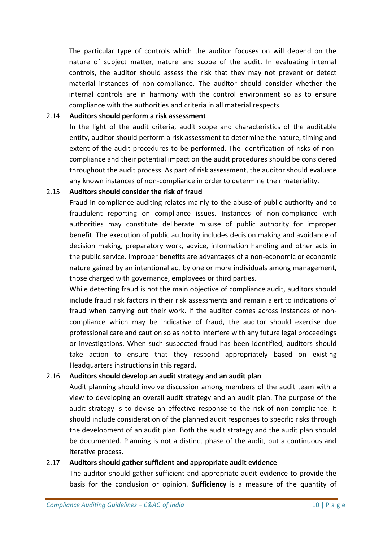The particular type of controls which the auditor focuses on will depend on the nature of subject matter, nature and scope of the audit. In evaluating internal controls, the auditor should assess the risk that they may not prevent or detect material instances of non-compliance. The auditor should consider whether the internal controls are in harmony with the control environment so as to ensure compliance with the authorities and criteria in all material respects.

### 2.14 **Auditors should perform a risk assessment**

In the light of the audit criteria, audit scope and characteristics of the auditable entity, auditor should perform a risk assessment to determine the nature, timing and extent of the audit procedures to be performed. The identification of risks of noncompliance and their potential impact on the audit procedures should be considered throughout the audit process. As part of risk assessment, the auditor should evaluate any known instances of non-compliance in order to determine their materiality.

### 2.15 **Auditors should consider the risk of fraud**

Fraud in compliance auditing relates mainly to the abuse of public authority and to fraudulent reporting on compliance issues. Instances of non-compliance with authorities may constitute deliberate misuse of public authority for improper benefit. The execution of public authority includes decision making and avoidance of decision making, preparatory work, advice, information handling and other acts in the public service. Improper benefits are advantages of a non-economic or economic nature gained by an intentional act by one or more individuals among management, those charged with governance, employees or third parties.

While detecting fraud is not the main objective of compliance audit, auditors should include fraud risk factors in their risk assessments and remain alert to indications of fraud when carrying out their work. If the auditor comes across instances of noncompliance which may be indicative of fraud, the auditor should exercise due professional care and caution so as not to interfere with any future legal proceedings or investigations. When such suspected fraud has been identified, auditors should take action to ensure that they respond appropriately based on existing Headquarters instructions in this regard.

### 2.16 **Auditors should develop an audit strategy and an audit plan**

Audit planning should involve discussion among members of the audit team with a view to developing an overall audit strategy and an audit plan. The purpose of the audit strategy is to devise an effective response to the risk of non-compliance. It should include consideration of the planned audit responses to specific risks through the development of an audit plan. Both the audit strategy and the audit plan should be documented. Planning is not a distinct phase of the audit, but a continuous and iterative process.

### 2.17 **Auditors should gather sufficient and appropriate audit evidence**

The auditor should gather sufficient and appropriate audit evidence to provide the basis for the conclusion or opinion. **Sufficiency** is a measure of the quantity of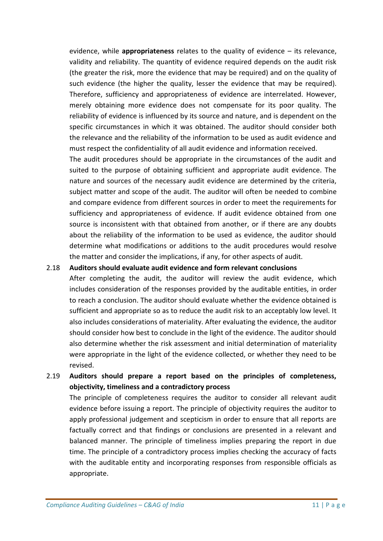evidence, while **appropriateness** relates to the quality of evidence – its relevance, validity and reliability. The quantity of evidence required depends on the audit risk (the greater the risk, more the evidence that may be required) and on the quality of such evidence (the higher the quality, lesser the evidence that may be required). Therefore, sufficiency and appropriateness of evidence are interrelated. However, merely obtaining more evidence does not compensate for its poor quality. The reliability of evidence is influenced by its source and nature, and is dependent on the specific circumstances in which it was obtained. The auditor should consider both the relevance and the reliability of the information to be used as audit evidence and must respect the confidentiality of all audit evidence and information received.

The audit procedures should be appropriate in the circumstances of the audit and suited to the purpose of obtaining sufficient and appropriate audit evidence. The nature and sources of the necessary audit evidence are determined by the criteria, subject matter and scope of the audit. The auditor will often be needed to combine and compare evidence from different sources in order to meet the requirements for sufficiency and appropriateness of evidence. If audit evidence obtained from one source is inconsistent with that obtained from another, or if there are any doubts about the reliability of the information to be used as evidence, the auditor should determine what modifications or additions to the audit procedures would resolve the matter and consider the implications, if any, for other aspects of audit.

### 2.18 **Auditors should evaluate audit evidence and form relevant conclusions**

After completing the audit, the auditor will review the audit evidence, which includes consideration of the responses provided by the auditable entities, in order to reach a conclusion. The auditor should evaluate whether the evidence obtained is sufficient and appropriate so as to reduce the audit risk to an acceptably low level. It also includes considerations of materiality. After evaluating the evidence, the auditor should consider how best to conclude in the light of the evidence. The auditor should also determine whether the risk assessment and initial determination of materiality were appropriate in the light of the evidence collected, or whether they need to be revised.

2.19 **Auditors should prepare a report based on the principles of completeness, objectivity, timeliness and a contradictory process**

The principle of completeness requires the auditor to consider all relevant audit evidence before issuing a report. The principle of objectivity requires the auditor to apply professional judgement and scepticism in order to ensure that all reports are factually correct and that findings or conclusions are presented in a relevant and balanced manner. The principle of timeliness implies preparing the report in due time. The principle of a contradictory process implies checking the accuracy of facts with the auditable entity and incorporating responses from responsible officials as appropriate.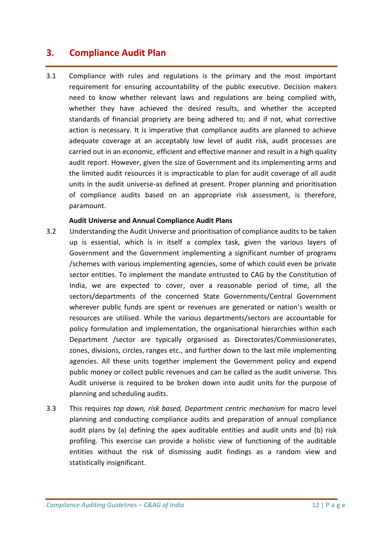# **3. Compliance Audit Plan**

3.1 Compliance with rules and regulations is the primary and the most important requirement for ensuring accountability of the public executive. Decision makers need to know whether relevant laws and regulations are being complied with, whether they have achieved the desired results, and whether the accepted standards of financial propriety are being adhered to; and if not, what corrective action is necessary. It is imperative that compliance audits are planned to achieve adequate coverage at an acceptably low level of audit risk, audit processes are carried out in an economic, efficient and effective manner and result in a high quality audit report. However, given the size of Government and its implementing arms and the limited audit resources it is impracticable to plan for audit coverage of all audit units in the audit universe-as defined at present. Proper planning and prioritisation of compliance audits based on an appropriate risk assessment, is therefore, paramount.

#### **Audit Universe and Annual Compliance Audit Plans**

- 3.2 Understanding the Audit Universe and prioritisation of compliance audits to be taken up is essential, which is in itself a complex task, given the various layers of Government and the Government implementing a significant number of programs /schemes with various implementing agencies, some of which could even be private sector entities. To implement the mandate entrusted to CAG by the Constitution of India, we are expected to cover, over a reasonable period of time, all the sectors/departments of the concerned State Governments/Central Government wherever public funds are spent or revenues are generated or nation's wealth or resources are utilised. While the various departments/sectors are accountable for policy formulation and implementation, the organisational hierarchies within each Department /sector are typically organised as Directorates/Commissionerates, zones, divisions, circles, ranges etc., and further down to the last mile implementing agencies. All these units together implement the Government policy and expend public money or collect public revenues and can be called as the audit universe. This Audit universe is required to be broken down into audit units for the purpose of planning and scheduling audits.
- 3.3 This requires *top down, risk based, Department centric mechanism* for macro level planning and conducting compliance audits and preparation of annual compliance audit plans by (a) defining the apex auditable entities and audit units and (b) risk profiling. This exercise can provide a holistic view of functioning of the auditable entities without the risk of dismissing audit findings as a random view and statistically insignificant.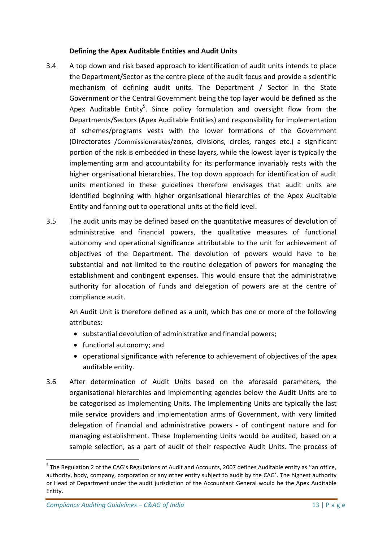### **Defining the Apex Auditable Entities and Audit Units**

- 3.4 A top down and risk based approach to identification of audit units intends to place the Department/Sector as the centre piece of the audit focus and provide a scientific mechanism of defining audit units. The Department / Sector in the State Government or the Central Government being the top layer would be defined as the Apex Auditable Entity<sup>5</sup>. Since policy formulation and oversight flow from the Departments/Sectors (Apex Auditable Entities) and responsibility for implementation of schemes/programs vests with the lower formations of the Government (Directorates /Commissionerates/zones, divisions, circles, ranges etc.) a significant portion of the risk is embedded in these layers, while the lowest layer is typically the implementing arm and accountability for its performance invariably rests with the higher organisational hierarchies. The top down approach for identification of audit units mentioned in these guidelines therefore envisages that audit units are identified beginning with higher organisational hierarchies of the Apex Auditable Entity and fanning out to operational units at the field level.
- 3.5 The audit units may be defined based on the quantitative measures of devolution of administrative and financial powers, the qualitative measures of functional autonomy and operational significance attributable to the unit for achievement of objectives of the Department. The devolution of powers would have to be substantial and not limited to the routine delegation of powers for managing the establishment and contingent expenses. This would ensure that the administrative authority for allocation of funds and delegation of powers are at the centre of compliance audit.

An Audit Unit is therefore defined as a unit, which has one or more of the following attributes:

- substantial devolution of administrative and financial powers;
- functional autonomy; and
- operational significance with reference to achievement of objectives of the apex auditable entity.
- 3.6 After determination of Audit Units based on the aforesaid parameters, the organisational hierarchies and implementing agencies below the Audit Units are to be categorised as Implementing Units. The Implementing Units are typically the last mile service providers and implementation arms of Government, with very limited delegation of financial and administrative powers - of contingent nature and for managing establishment. These Implementing Units would be audited, based on a sample selection, as a part of audit of their respective Audit Units. The process of

**.** 

<sup>&</sup>lt;sup>5</sup> The Regulation 2 of the CAG's Regulations of Audit and Accounts, 2007 defines Auditable entity as "an office, authority, body, company, corporation or any other entity subject to audit by the CAG'. The highest authority or Head of Department under the audit jurisdiction of the Accountant General would be the Apex Auditable Entity.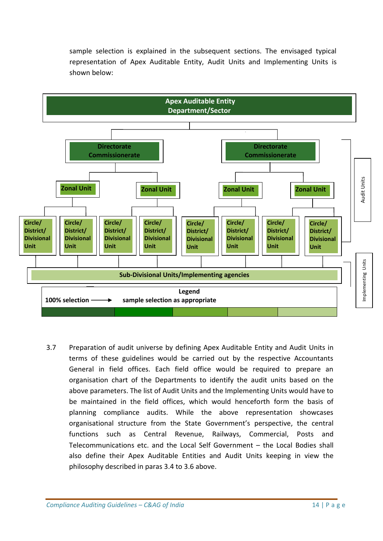sample selection is explained in the subsequent sections. The envisaged typical representation of Apex Auditable Entity, Audit Units and Implementing Units is shown below:



3.7 Preparation of audit universe by defining Apex Auditable Entity and Audit Units in terms of these guidelines would be carried out by the respective Accountants General in field offices. Each field office would be required to prepare an organisation chart of the Departments to identify the audit units based on the above parameters. The list of Audit Units and the Implementing Units would have to be maintained in the field offices, which would henceforth form the basis of planning compliance audits. While the above representation showcases organisational structure from the State Government's perspective, the central functions such as Central Revenue, Railways, Commercial, Posts and Telecommunications etc. and the Local Self Government – the Local Bodies shall also define their Apex Auditable Entities and Audit Units keeping in view the philosophy described in paras 3.4 to 3.6 above.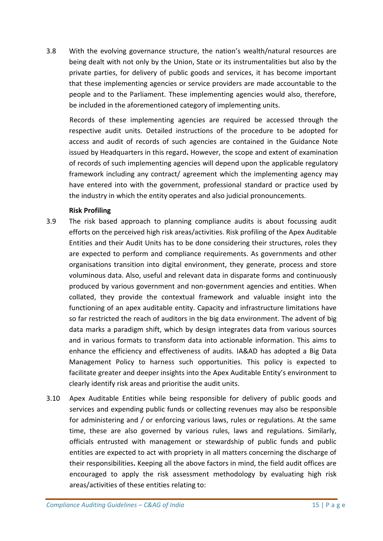3.8 With the evolving governance structure, the nation's wealth/natural resources are being dealt with not only by the Union, State or its instrumentalities but also by the private parties, for delivery of public goods and services, it has become important that these implementing agencies or service providers are made accountable to the people and to the Parliament. These implementing agencies would also, therefore, be included in the aforementioned category of implementing units.

Records of these implementing agencies are required be accessed through the respective audit units. Detailed instructions of the procedure to be adopted for access and audit of records of such agencies are contained in the Guidance Note issued by Headquarters in this regard**.** However, the scope and extent of examination of records of such implementing agencies will depend upon the applicable regulatory framework including any contract/ agreement which the implementing agency may have entered into with the government, professional standard or practice used by the industry in which the entity operates and also judicial pronouncements.

### **Risk Profiling**

- 3.9 The risk based approach to planning compliance audits is about focussing audit efforts on the perceived high risk areas/activities. Risk profiling of the Apex Auditable Entities and their Audit Units has to be done considering their structures, roles they are expected to perform and compliance requirements. As governments and other organisations transition into digital environment, they generate, process and store voluminous data. Also, useful and relevant data in disparate forms and continuously produced by various government and non-government agencies and entities. When collated, they provide the contextual framework and valuable insight into the functioning of an apex auditable entity. Capacity and infrastructure limitations have so far restricted the reach of auditors in the big data environment. The advent of big data marks a paradigm shift, which by design integrates data from various sources and in various formats to transform data into actionable information. This aims to enhance the efficiency and effectiveness of audits. IA&AD has adopted a Big Data Management Policy to harness such opportunities. This policy is expected to facilitate greater and deeper insights into the Apex Auditable Entity's environment to clearly identify risk areas and prioritise the audit units.
- 3.10 Apex Auditable Entities while being responsible for delivery of public goods and services and expending public funds or collecting revenues may also be responsible for administering and / or enforcing various laws, rules or regulations. At the same time, these are also governed by various rules, laws and regulations. Similarly, officials entrusted with management or stewardship of public funds and public entities are expected to act with propriety in all matters concerning the discharge of their responsibilities**.** Keeping all the above factors in mind, the field audit offices are encouraged to apply the risk assessment methodology by evaluating high risk areas/activities of these entities relating to: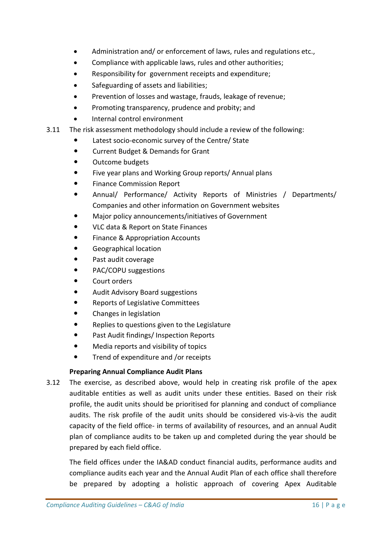- Administration and/ or enforcement of laws, rules and regulations etc.,
- Compliance with applicable laws, rules and other authorities;
- Responsibility for government receipts and expenditure;
- Safeguarding of assets and liabilities;
- Prevention of losses and wastage, frauds, leakage of revenue;
- Promoting transparency, prudence and probity; and
- Internal control environment
- 3.11 The risk assessment methodology should include a review of the following:
	- Latest socio-economic survey of the Centre/ State
	- Current Budget & Demands for Grant
	- Outcome budgets
	- Five year plans and Working Group reports/ Annual plans
	- Finance Commission Report
	- Annual/ Performance/ Activity Reports of Ministries / Departments/ Companies and other information on Government websites
	- Major policy announcements/initiatives of Government
	- VLC data & Report on State Finances
	- Finance & Appropriation Accounts
	- Geographical location
	- Past audit coverage
	- PAC/COPU suggestions
	- Court orders
	- Audit Advisory Board suggestions
	- Reports of Legislative Committees
	- Changes in legislation
	- Replies to questions given to the Legislature
	- Past Audit findings/ Inspection Reports
	- Media reports and visibility of topics
	- Trend of expenditure and /or receipts

### **Preparing Annual Compliance Audit Plans**

3.12 The exercise, as described above, would help in creating risk profile of the apex auditable entities as well as audit units under these entities. Based on their risk profile, the audit units should be prioritised for planning and conduct of compliance audits. The risk profile of the audit units should be considered vis-à-vis the audit capacity of the field office- in terms of availability of resources, and an annual Audit plan of compliance audits to be taken up and completed during the year should be prepared by each field office.

The field offices under the IA&AD conduct financial audits, performance audits and compliance audits each year and the Annual Audit Plan of each office shall therefore be prepared by adopting a holistic approach of covering Apex Auditable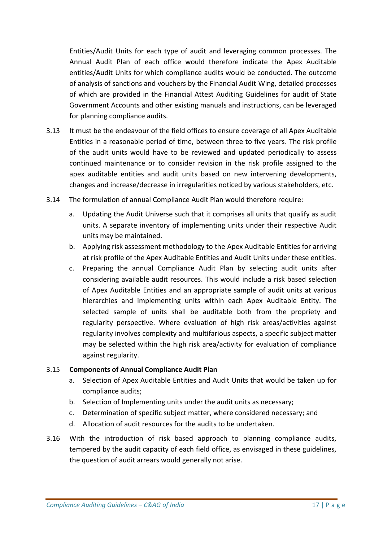Entities/Audit Units for each type of audit and leveraging common processes. The Annual Audit Plan of each office would therefore indicate the Apex Auditable entities/Audit Units for which compliance audits would be conducted. The outcome of analysis of sanctions and vouchers by the Financial Audit Wing, detailed processes of which are provided in the Financial Attest Auditing Guidelines for audit of State Government Accounts and other existing manuals and instructions, can be leveraged for planning compliance audits.

- 3.13 It must be the endeavour of the field offices to ensure coverage of all Apex Auditable Entities in a reasonable period of time, between three to five years. The risk profile of the audit units would have to be reviewed and updated periodically to assess continued maintenance or to consider revision in the risk profile assigned to the apex auditable entities and audit units based on new intervening developments, changes and increase/decrease in irregularities noticed by various stakeholders, etc.
- 3.14 The formulation of annual Compliance Audit Plan would therefore require:
	- a. Updating the Audit Universe such that it comprises all units that qualify as audit units. A separate inventory of implementing units under their respective Audit units may be maintained.
	- b. Applying risk assessment methodology to the Apex Auditable Entities for arriving at risk profile of the Apex Auditable Entities and Audit Units under these entities.
	- c. Preparing the annual Compliance Audit Plan by selecting audit units after considering available audit resources. This would include a risk based selection of Apex Auditable Entities and an appropriate sample of audit units at various hierarchies and implementing units within each Apex Auditable Entity. The selected sample of units shall be auditable both from the propriety and regularity perspective. Where evaluation of high risk areas/activities against regularity involves complexity and multifarious aspects, a specific subject matter may be selected within the high risk area/activity for evaluation of compliance against regularity.

### 3.15 **Components of Annual Compliance Audit Plan**

- a. Selection of Apex Auditable Entities and Audit Units that would be taken up for compliance audits;
- b. Selection of Implementing units under the audit units as necessary;
- c. Determination of specific subject matter, where considered necessary; and
- d. Allocation of audit resources for the audits to be undertaken.
- 3.16 With the introduction of risk based approach to planning compliance audits, tempered by the audit capacity of each field office, as envisaged in these guidelines, the question of audit arrears would generally not arise.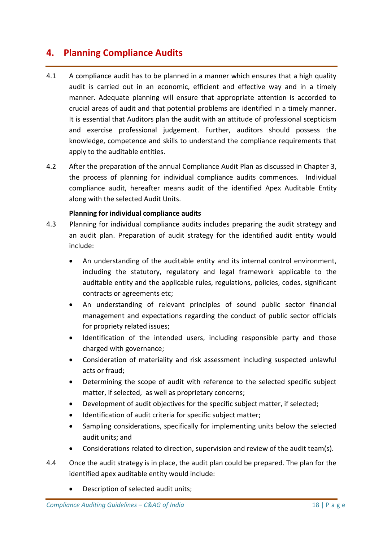# **4. Planning Compliance Audits**

- 4.1 A compliance audit has to be planned in a manner which ensures that a high quality audit is carried out in an economic, efficient and effective way and in a timely manner. Adequate planning will ensure that appropriate attention is accorded to crucial areas of audit and that potential problems are identified in a timely manner. It is essential that Auditors plan the audit with an attitude of professional scepticism and exercise professional judgement. Further, auditors should possess the knowledge, competence and skills to understand the compliance requirements that apply to the auditable entities.
- 4.2 After the preparation of the annual Compliance Audit Plan as discussed in Chapter 3, the process of planning for individual compliance audits commences. Individual compliance audit, hereafter means audit of the identified Apex Auditable Entity along with the selected Audit Units.

### **Planning for individual compliance audits**

- 4.3 Planning for individual compliance audits includes preparing the audit strategy and an audit plan. Preparation of audit strategy for the identified audit entity would include:
	- An understanding of the auditable entity and its internal control environment, including the statutory, regulatory and legal framework applicable to the auditable entity and the applicable rules, regulations, policies, codes, significant contracts or agreements etc;
	- An understanding of relevant principles of sound public sector financial management and expectations regarding the conduct of public sector officials for propriety related issues;
	- Identification of the intended users, including responsible party and those charged with governance;
	- Consideration of materiality and risk assessment including suspected unlawful acts or fraud;
	- Determining the scope of audit with reference to the selected specific subject matter, if selected, as well as proprietary concerns;
	- Development of audit objectives for the specific subject matter, if selected;
	- Identification of audit criteria for specific subject matter;
	- Sampling considerations, specifically for implementing units below the selected audit units; and
	- Considerations related to direction, supervision and review of the audit team(s).
- 4.4 Once the audit strategy is in place, the audit plan could be prepared. The plan for the identified apex auditable entity would include:
	- Description of selected audit units;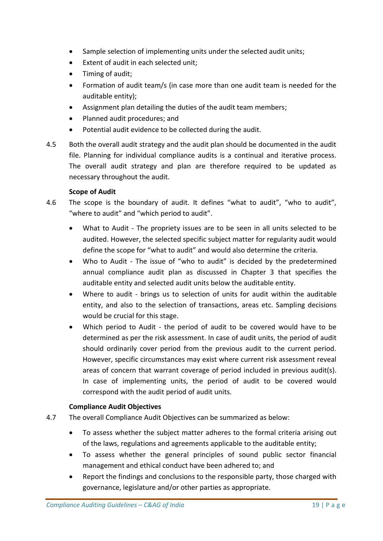- Sample selection of implementing units under the selected audit units;
- Extent of audit in each selected unit:
- Timing of audit;
- Formation of audit team/s (in case more than one audit team is needed for the auditable entity);
- Assignment plan detailing the duties of the audit team members;
- Planned audit procedures; and
- Potential audit evidence to be collected during the audit.
- 4.5 Both the overall audit strategy and the audit plan should be documented in the audit file. Planning for individual compliance audits is a continual and iterative process. The overall audit strategy and plan are therefore required to be updated as necessary throughout the audit.

### **Scope of Audit**

- 4.6 The scope is the boundary of audit. It defines "what to audit", "who to audit", "where to audit" and "which period to audit".
	- What to Audit The propriety issues are to be seen in all units selected to be audited. However, the selected specific subject matter for regularity audit would define the scope for "what to audit" and would also determine the criteria.
	- Who to Audit The issue of "who to audit" is decided by the predetermined annual compliance audit plan as discussed in Chapter 3 that specifies the auditable entity and selected audit units below the auditable entity.
	- Where to audit brings us to selection of units for audit within the auditable entity, and also to the selection of transactions, areas etc. Sampling decisions would be crucial for this stage.
	- Which period to Audit the period of audit to be covered would have to be determined as per the risk assessment. In case of audit units, the period of audit should ordinarily cover period from the previous audit to the current period. However, specific circumstances may exist where current risk assessment reveal areas of concern that warrant coverage of period included in previous audit(s). In case of implementing units, the period of audit to be covered would correspond with the audit period of audit units.

### **Compliance Audit Objectives**

- 4.7 The overall Compliance Audit Objectives can be summarized as below:
	- To assess whether the subject matter adheres to the formal criteria arising out of the laws, regulations and agreements applicable to the auditable entity;
	- To assess whether the general principles of sound public sector financial management and ethical conduct have been adhered to; and
	- Report the findings and conclusions to the responsible party, those charged with governance, legislature and/or other parties as appropriate.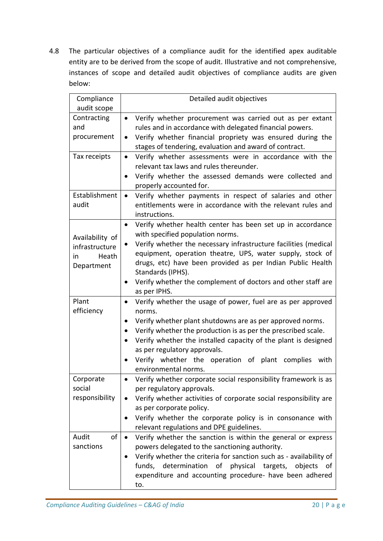4.8 The particular objectives of a compliance audit for the identified apex auditable entity are to be derived from the scope of audit. Illustrative and not comprehensive, instances of scope and detailed audit objectives of compliance audits are given below:

| Compliance      | Detailed audit objectives                                                     |  |  |  |
|-----------------|-------------------------------------------------------------------------------|--|--|--|
| audit scope     |                                                                               |  |  |  |
| Contracting     | Verify whether procurement was carried out as per extant<br>$\bullet$         |  |  |  |
| and             | rules and in accordance with delegated financial powers.                      |  |  |  |
| procurement     | Verify whether financial propriety was ensured during the<br>$\bullet$        |  |  |  |
|                 | stages of tendering, evaluation and award of contract.                        |  |  |  |
| Tax receipts    | Verify whether assessments were in accordance with the<br>$\bullet$           |  |  |  |
|                 | relevant tax laws and rules thereunder.                                       |  |  |  |
|                 | Verify whether the assessed demands were collected and<br>$\bullet$           |  |  |  |
|                 | properly accounted for.                                                       |  |  |  |
| Establishment   | Verify whether payments in respect of salaries and other<br>$\bullet$         |  |  |  |
| audit           | entitlements were in accordance with the relevant rules and                   |  |  |  |
|                 | instructions.                                                                 |  |  |  |
|                 | Verify whether health center has been set up in accordance<br>$\bullet$       |  |  |  |
| Availability of | with specified population norms.                                              |  |  |  |
| infrastructure  | Verify whether the necessary infrastructure facilities (medical               |  |  |  |
| Heath<br>in     | equipment, operation theatre, UPS, water supply, stock of                     |  |  |  |
| Department      | drugs, etc) have been provided as per Indian Public Health                    |  |  |  |
|                 | Standards (IPHS).                                                             |  |  |  |
|                 | Verify whether the complement of doctors and other staff are<br>$\bullet$     |  |  |  |
|                 | as per IPHS.                                                                  |  |  |  |
| Plant           | Verify whether the usage of power, fuel are as per approved<br>٠              |  |  |  |
| efficiency      | norms.                                                                        |  |  |  |
|                 | Verify whether plant shutdowns are as per approved norms.<br>$\bullet$        |  |  |  |
|                 | Verify whether the production is as per the prescribed scale.                 |  |  |  |
|                 | Verify whether the installed capacity of the plant is designed                |  |  |  |
|                 | as per regulatory approvals.                                                  |  |  |  |
|                 | Verify whether the operation of plant complies<br>with                        |  |  |  |
|                 | environmental norms.                                                          |  |  |  |
| Corporate       | Verify whether corporate social responsibility framework is as                |  |  |  |
| social          | per regulatory approvals.                                                     |  |  |  |
| responsibility  | Verify whether activities of corporate social responsibility are<br>$\bullet$ |  |  |  |
|                 | as per corporate policy.                                                      |  |  |  |
|                 | Verify whether the corporate policy is in consonance with                     |  |  |  |
|                 | relevant regulations and DPE guidelines.                                      |  |  |  |
| Audit<br>οf     | Verify whether the sanction is within the general or express<br>$\bullet$     |  |  |  |
| sanctions       | powers delegated to the sanctioning authority.                                |  |  |  |
|                 | Verify whether the criteria for sanction such as - availability of            |  |  |  |
|                 | physical targets,<br>funds, determination of<br>objects<br>of                 |  |  |  |
|                 | expenditure and accounting procedure- have been adhered                       |  |  |  |
|                 | to.                                                                           |  |  |  |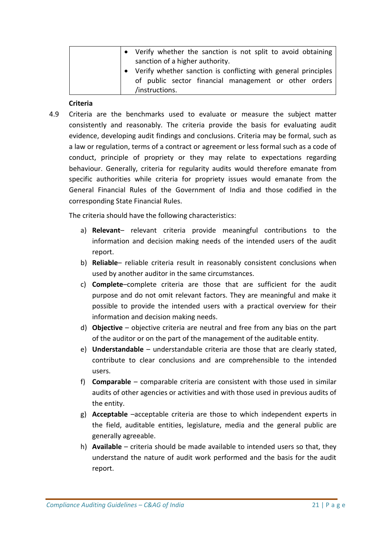| • Verify whether the sanction is not split to avoid obtaining    |  |  |  |
|------------------------------------------------------------------|--|--|--|
| sanction of a higher authority.                                  |  |  |  |
| • Verify whether sanction is conflicting with general principles |  |  |  |
| of public sector financial management or other orders            |  |  |  |
| /instructions.                                                   |  |  |  |

### **Criteria**

4.9 Criteria are the benchmarks used to evaluate or measure the subject matter consistently and reasonably. The criteria provide the basis for evaluating audit evidence, developing audit findings and conclusions. Criteria may be formal, such as a law or regulation, terms of a contract or agreement or less formal such as a code of conduct, principle of propriety or they may relate to expectations regarding behaviour. Generally, criteria for regularity audits would therefore emanate from specific authorities while criteria for propriety issues would emanate from the General Financial Rules of the Government of India and those codified in the corresponding State Financial Rules.

The criteria should have the following characteristics:

- a) **Relevant** relevant criteria provide meaningful contributions to the information and decision making needs of the intended users of the audit report.
- b) **Reliable** reliable criteria result in reasonably consistent conclusions when used by another auditor in the same circumstances.
- c) **Complete**–complete criteria are those that are sufficient for the audit purpose and do not omit relevant factors. They are meaningful and make it possible to provide the intended users with a practical overview for their information and decision making needs.
- d) **Objective**  objective criteria are neutral and free from any bias on the part of the auditor or on the part of the management of the auditable entity.
- e) **Understandable**  understandable criteria are those that are clearly stated, contribute to clear conclusions and are comprehensible to the intended users.
- f) **Comparable**  comparable criteria are consistent with those used in similar audits of other agencies or activities and with those used in previous audits of the entity.
- g) **Acceptable** –acceptable criteria are those to which independent experts in the field, auditable entities, legislature, media and the general public are generally agreeable.
- h) **Available**  criteria should be made available to intended users so that, they understand the nature of audit work performed and the basis for the audit report.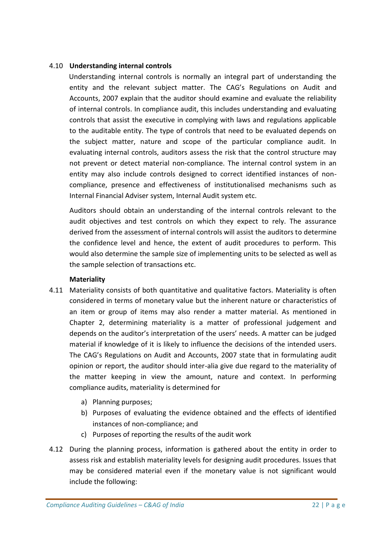### 4.10 **Understanding internal controls**

Understanding internal controls is normally an integral part of understanding the entity and the relevant subject matter. The CAG's Regulations on Audit and Accounts, 2007 explain that the auditor should examine and evaluate the reliability of internal controls. In compliance audit, this includes understanding and evaluating controls that assist the executive in complying with laws and regulations applicable to the auditable entity. The type of controls that need to be evaluated depends on the subject matter, nature and scope of the particular compliance audit. In evaluating internal controls, auditors assess the risk that the control structure may not prevent or detect material non-compliance. The internal control system in an entity may also include controls designed to correct identified instances of noncompliance, presence and effectiveness of institutionalised mechanisms such as Internal Financial Adviser system, Internal Audit system etc.

Auditors should obtain an understanding of the internal controls relevant to the audit objectives and test controls on which they expect to rely. The assurance derived from the assessment of internal controls will assist the auditors to determine the confidence level and hence, the extent of audit procedures to perform. This would also determine the sample size of implementing units to be selected as well as the sample selection of transactions etc.

### **Materiality**

- 4.11 Materiality consists of both quantitative and qualitative factors. Materiality is often considered in terms of monetary value but the inherent nature or characteristics of an item or group of items may also render a matter material. As mentioned in Chapter 2, determining materiality is a matter of professional judgement and depends on the auditor's interpretation of the users' needs. A matter can be judged material if knowledge of it is likely to influence the decisions of the intended users. The CAG's Regulations on Audit and Accounts, 2007 state that in formulating audit opinion or report, the auditor should inter-alia give due regard to the materiality of the matter keeping in view the amount, nature and context. In performing compliance audits, materiality is determined for
	- a) Planning purposes;
	- b) Purposes of evaluating the evidence obtained and the effects of identified instances of non-compliance; and
	- c) Purposes of reporting the results of the audit work
- 4.12 During the planning process, information is gathered about the entity in order to assess risk and establish materiality levels for designing audit procedures. Issues that may be considered material even if the monetary value is not significant would include the following: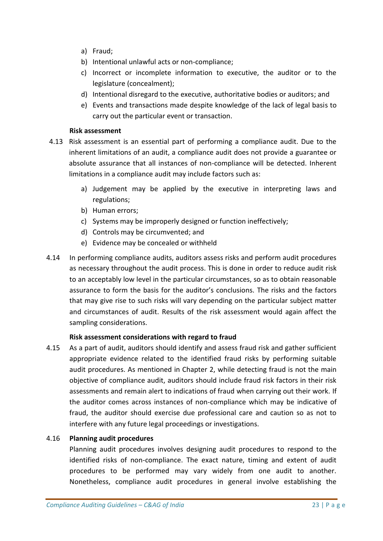- a) Fraud;
- b) Intentional unlawful acts or non-compliance;
- c) Incorrect or incomplete information to executive, the auditor or to the legislature (concealment);
- d) Intentional disregard to the executive, authoritative bodies or auditors; and
- e) Events and transactions made despite knowledge of the lack of legal basis to carry out the particular event or transaction.

### **Risk assessment**

- 4.13 Risk assessment is an essential part of performing a compliance audit. Due to the inherent limitations of an audit, a compliance audit does not provide a guarantee or absolute assurance that all instances of non-compliance will be detected. Inherent limitations in a compliance audit may include factors such as:
	- a) Judgement may be applied by the executive in interpreting laws and regulations;
	- b) Human errors;
	- c) Systems may be improperly designed or function ineffectively;
	- d) Controls may be circumvented; and
	- e) Evidence may be concealed or withheld
- 4.14 In performing compliance audits, auditors assess risks and perform audit procedures as necessary throughout the audit process. This is done in order to reduce audit risk to an acceptably low level in the particular circumstances, so as to obtain reasonable assurance to form the basis for the auditor's conclusions. The risks and the factors that may give rise to such risks will vary depending on the particular subject matter and circumstances of audit. Results of the risk assessment would again affect the sampling considerations.

### **Risk assessment considerations with regard to fraud**

4.15 As a part of audit, auditors should identify and assess fraud risk and gather sufficient appropriate evidence related to the identified fraud risks by performing suitable audit procedures. As mentioned in Chapter 2, while detecting fraud is not the main objective of compliance audit, auditors should include fraud risk factors in their risk assessments and remain alert to indications of fraud when carrying out their work. If the auditor comes across instances of non-compliance which may be indicative of fraud, the auditor should exercise due professional care and caution so as not to interfere with any future legal proceedings or investigations.

### 4.16 **Planning audit procedures**

Planning audit procedures involves designing audit procedures to respond to the identified risks of non-compliance. The exact nature, timing and extent of audit procedures to be performed may vary widely from one audit to another. Nonetheless, compliance audit procedures in general involve establishing the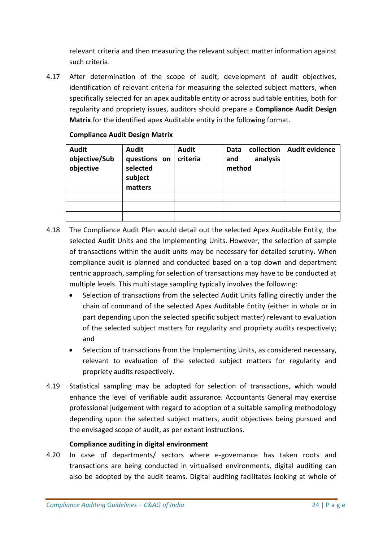relevant criteria and then measuring the relevant subject matter information against such criteria.

4.17 After determination of the scope of audit, development of audit objectives, identification of relevant criteria for measuring the selected subject matters, when specifically selected for an apex auditable entity or across auditable entities, both for regularity and propriety issues, auditors should prepare a **Compliance Audit Design Matrix** for the identified apex Auditable entity in the following format.

| <b>Audit</b><br>objective/Sub<br>objective | <b>Audit</b><br>questions on<br>selected<br>subject<br>matters | <b>Audit</b><br>criteria | collection<br>Data<br>analysis<br>and<br>method | Audit evidence |
|--------------------------------------------|----------------------------------------------------------------|--------------------------|-------------------------------------------------|----------------|
|                                            |                                                                |                          |                                                 |                |
|                                            |                                                                |                          |                                                 |                |
|                                            |                                                                |                          |                                                 |                |

### **Compliance Audit Design Matrix**

- 4.18 The Compliance Audit Plan would detail out the selected Apex Auditable Entity, the selected Audit Units and the Implementing Units. However, the selection of sample of transactions within the audit units may be necessary for detailed scrutiny. When compliance audit is planned and conducted based on a top down and department centric approach, sampling for selection of transactions may have to be conducted at multiple levels. This multi stage sampling typically involves the following:
	- Selection of transactions from the selected Audit Units falling directly under the chain of command of the selected Apex Auditable Entity (either in whole or in part depending upon the selected specific subject matter) relevant to evaluation of the selected subject matters for regularity and propriety audits respectively; and
	- Selection of transactions from the Implementing Units, as considered necessary, relevant to evaluation of the selected subject matters for regularity and propriety audits respectively.
- 4.19 Statistical sampling may be adopted for selection of transactions, which would enhance the level of verifiable audit assurance. Accountants General may exercise professional judgement with regard to adoption of a suitable sampling methodology depending upon the selected subject matters, audit objectives being pursued and the envisaged scope of audit, as per extant instructions.

### **Compliance auditing in digital environment**

4.20 In case of departments/ sectors where e-governance has taken roots and transactions are being conducted in virtualised environments, digital auditing can also be adopted by the audit teams. Digital auditing facilitates looking at whole of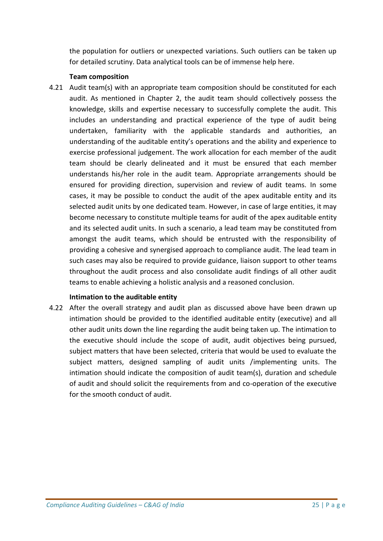the population for outliers or unexpected variations. Such outliers can be taken up for detailed scrutiny. Data analytical tools can be of immense help here.

### **Team composition**

4.21 Audit team(s) with an appropriate team composition should be constituted for each audit. As mentioned in Chapter 2, the audit team should collectively possess the knowledge, skills and expertise necessary to successfully complete the audit. This includes an understanding and practical experience of the type of audit being undertaken, familiarity with the applicable standards and authorities, an understanding of the auditable entity's operations and the ability and experience to exercise professional judgement. The work allocation for each member of the audit team should be clearly delineated and it must be ensured that each member understands his/her role in the audit team. Appropriate arrangements should be ensured for providing direction, supervision and review of audit teams. In some cases, it may be possible to conduct the audit of the apex auditable entity and its selected audit units by one dedicated team. However, in case of large entities, it may become necessary to constitute multiple teams for audit of the apex auditable entity and its selected audit units. In such a scenario, a lead team may be constituted from amongst the audit teams, which should be entrusted with the responsibility of providing a cohesive and synergised approach to compliance audit. The lead team in such cases may also be required to provide guidance, liaison support to other teams throughout the audit process and also consolidate audit findings of all other audit teams to enable achieving a holistic analysis and a reasoned conclusion.

### **Intimation to the auditable entity**

4.22 After the overall strategy and audit plan as discussed above have been drawn up intimation should be provided to the identified auditable entity (executive) and all other audit units down the line regarding the audit being taken up. The intimation to the executive should include the scope of audit, audit objectives being pursued, subject matters that have been selected, criteria that would be used to evaluate the subject matters, designed sampling of audit units /implementing units. The intimation should indicate the composition of audit team(s), duration and schedule of audit and should solicit the requirements from and co-operation of the executive for the smooth conduct of audit.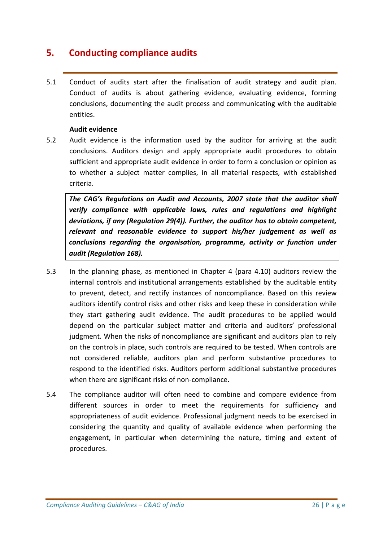# **5. Conducting compliance audits**

5.1 Conduct of audits start after the finalisation of audit strategy and audit plan. Conduct of audits is about gathering evidence, evaluating evidence, forming conclusions, documenting the audit process and communicating with the auditable entities.

### **Audit evidence**

5.2 Audit evidence is the information used by the auditor for arriving at the audit conclusions. Auditors design and apply appropriate audit procedures to obtain sufficient and appropriate audit evidence in order to form a conclusion or opinion as to whether a subject matter complies, in all material respects, with established criteria.

*The CAG's Regulations on Audit and Accounts, 2007 state that the auditor shall verify compliance with applicable laws, rules and regulations and highlight deviations, if any (Regulation 29(4)). Further, the auditor has to obtain competent, relevant and reasonable evidence to support his/her judgement as well as conclusions regarding the organisation, programme, activity or function under audit (Regulation 168).*

- 5.3 In the planning phase, as mentioned in Chapter 4 (para 4.10) auditors review the internal controls and institutional arrangements established by the auditable entity to prevent, detect, and rectify instances of noncompliance. Based on this review auditors identify control risks and other risks and keep these in consideration while they start gathering audit evidence. The audit procedures to be applied would depend on the particular subject matter and criteria and auditors' professional judgment. When the risks of noncompliance are significant and auditors plan to rely on the controls in place, such controls are required to be tested. When controls are not considered reliable, auditors plan and perform substantive procedures to respond to the identified risks. Auditors perform additional substantive procedures when there are significant risks of non-compliance.
- 5.4 The compliance auditor will often need to combine and compare evidence from different sources in order to meet the requirements for sufficiency and appropriateness of audit evidence. Professional judgment needs to be exercised in considering the quantity and quality of available evidence when performing the engagement, in particular when determining the nature, timing and extent of procedures.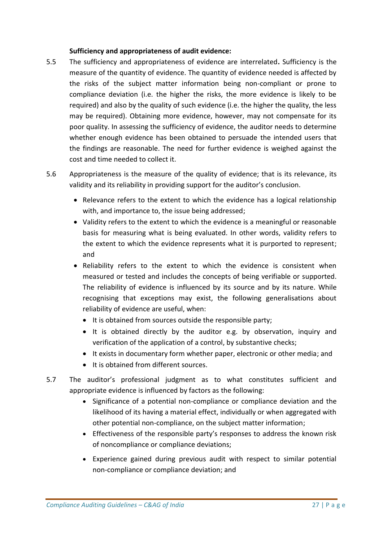### **Sufficiency and appropriateness of audit evidence:**

- 5.5 The sufficiency and appropriateness of evidence are interrelated**.** Sufficiency is the measure of the quantity of evidence. The quantity of evidence needed is affected by the risks of the subject matter information being non-compliant or prone to compliance deviation (i.e. the higher the risks, the more evidence is likely to be required) and also by the quality of such evidence (i.e. the higher the quality, the less may be required). Obtaining more evidence, however, may not compensate for its poor quality. In assessing the sufficiency of evidence, the auditor needs to determine whether enough evidence has been obtained to persuade the intended users that the findings are reasonable. The need for further evidence is weighed against the cost and time needed to collect it.
- 5.6 Appropriateness is the measure of the quality of evidence; that is its relevance, its validity and its reliability in providing support for the auditor's conclusion.
	- Relevance refers to the extent to which the evidence has a logical relationship with, and importance to, the issue being addressed;
	- Validity refers to the extent to which the evidence is a meaningful or reasonable basis for measuring what is being evaluated. In other words, validity refers to the extent to which the evidence represents what it is purported to represent; and
	- Reliability refers to the extent to which the evidence is consistent when measured or tested and includes the concepts of being verifiable or supported. The reliability of evidence is influenced by its source and by its nature. While recognising that exceptions may exist, the following generalisations about reliability of evidence are useful, when:
		- It is obtained from sources outside the responsible party;
		- $\bullet$  It is obtained directly by the auditor e.g. by observation, inquiry and verification of the application of a control, by substantive checks;
		- It exists in documentary form whether paper, electronic or other media; and
		- It is obtained from different sources.
- 5.7 The auditor's professional judgment as to what constitutes sufficient and appropriate evidence is influenced by factors as the following:
	- Significance of a potential non-compliance or compliance deviation and the likelihood of its having a material effect, individually or when aggregated with other potential non-compliance, on the subject matter information;
	- Effectiveness of the responsible party's responses to address the known risk of noncompliance or compliance deviations;
	- Experience gained during previous audit with respect to similar potential non-compliance or compliance deviation; and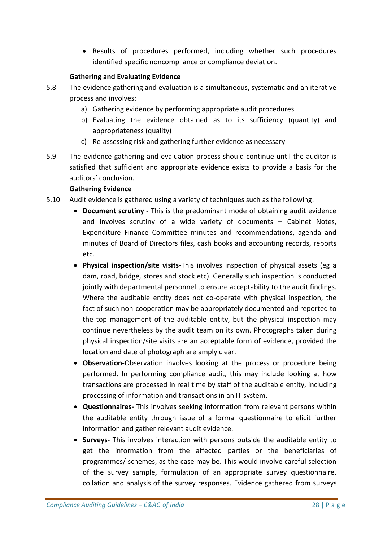Results of procedures performed, including whether such procedures identified specific noncompliance or compliance deviation.

### **Gathering and Evaluating Evidence**

- 5.8 The evidence gathering and evaluation is a simultaneous, systematic and an iterative process and involves:
	- a) Gathering evidence by performing appropriate audit procedures
	- b) Evaluating the evidence obtained as to its sufficiency (quantity) and appropriateness (quality)
	- c) Re-assessing risk and gathering further evidence as necessary
- 5.9 The evidence gathering and evaluation process should continue until the auditor is satisfied that sufficient and appropriate evidence exists to provide a basis for the auditors' conclusion.

### **Gathering Evidence**

- 5.10 Audit evidence is gathered using a variety of techniques such as the following:
	- **Document scrutiny -** This is the predominant mode of obtaining audit evidence and involves scrutiny of a wide variety of documents – Cabinet Notes, Expenditure Finance Committee minutes and recommendations, agenda and minutes of Board of Directors files, cash books and accounting records, reports etc.
	- **Physical inspection/site visits-**This involves inspection of physical assets (eg a dam, road, bridge, stores and stock etc). Generally such inspection is conducted jointly with departmental personnel to ensure acceptability to the audit findings. Where the auditable entity does not co-operate with physical inspection, the fact of such non-cooperation may be appropriately documented and reported to the top management of the auditable entity, but the physical inspection may continue nevertheless by the audit team on its own. Photographs taken during physical inspection/site visits are an acceptable form of evidence, provided the location and date of photograph are amply clear.
	- **Observation-**Observation involves looking at the process or procedure being performed. In performing compliance audit, this may include looking at how transactions are processed in real time by staff of the auditable entity, including processing of information and transactions in an IT system.
	- **Questionnaires-** This involves seeking information from relevant persons within the auditable entity through issue of a formal questionnaire to elicit further information and gather relevant audit evidence.
	- **Surveys-** This involves interaction with persons outside the auditable entity to get the information from the affected parties or the beneficiaries of programmes/ schemes, as the case may be. This would involve careful selection of the survey sample, formulation of an appropriate survey questionnaire, collation and analysis of the survey responses. Evidence gathered from surveys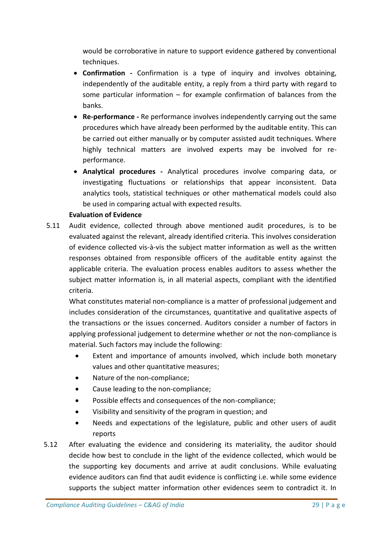would be corroborative in nature to support evidence gathered by conventional techniques.

- **Confirmation -** Confirmation is a type of inquiry and involves obtaining, independently of the auditable entity, a reply from a third party with regard to some particular information – for example confirmation of balances from the banks.
- **Re-performance -** Re performance involves independently carrying out the same procedures which have already been performed by the auditable entity. This can be carried out either manually or by computer assisted audit techniques. Where highly technical matters are involved experts may be involved for reperformance.
- **Analytical procedures -** Analytical procedures involve comparing data, or investigating fluctuations or relationships that appear inconsistent. Data analytics tools, statistical techniques or other mathematical models could also be used in comparing actual with expected results.

### **Evaluation of Evidence**

5.11 Audit evidence, collected through above mentioned audit procedures, is to be evaluated against the relevant, already identified criteria. This involves consideration of evidence collected vis-à-vis the subject matter information as well as the written responses obtained from responsible officers of the auditable entity against the applicable criteria. The evaluation process enables auditors to assess whether the subject matter information is, in all material aspects, compliant with the identified criteria.

What constitutes material non-compliance is a matter of professional judgement and includes consideration of the circumstances, quantitative and qualitative aspects of the transactions or the issues concerned. Auditors consider a number of factors in applying professional judgement to determine whether or not the non-compliance is material. Such factors may include the following:

- Extent and importance of amounts involved, which include both monetary values and other quantitative measures;
- Nature of the non-compliance;
- Cause leading to the non-compliance;
- Possible effects and consequences of the non-compliance;
- Visibility and sensitivity of the program in question; and
- Needs and expectations of the legislature, public and other users of audit reports
- 5.12 After evaluating the evidence and considering its materiality, the auditor should decide how best to conclude in the light of the evidence collected, which would be the supporting key documents and arrive at audit conclusions. While evaluating evidence auditors can find that audit evidence is conflicting i.e. while some evidence supports the subject matter information other evidences seem to contradict it. In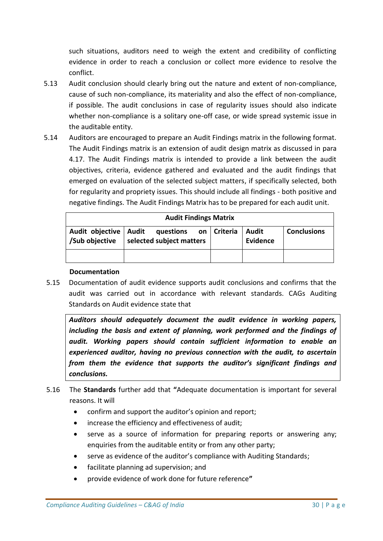such situations, auditors need to weigh the extent and credibility of conflicting evidence in order to reach a conclusion or collect more evidence to resolve the conflict.

- 5.13 Audit conclusion should clearly bring out the nature and extent of non-compliance, cause of such non-compliance, its materiality and also the effect of non-compliance, if possible. The audit conclusions in case of regularity issues should also indicate whether non-compliance is a solitary one-off case, or wide spread systemic issue in the auditable entity.
- 5.14 Auditors are encouraged to prepare an Audit Findings matrix in the following format. The Audit Findings matrix is an extension of audit design matrix as discussed in para 4.17. The Audit Findings matrix is intended to provide a link between the audit objectives, criteria, evidence gathered and evaluated and the audit findings that emerged on evaluation of the selected subject matters, if specifically selected, both for regularity and propriety issues. This should include all findings - both positive and negative findings. The Audit Findings Matrix has to be prepared for each audit unit.

| <b>Audit Findings Matrix</b>              |                                       |               |                          |                    |  |  |  |  |
|-------------------------------------------|---------------------------------------|---------------|--------------------------|--------------------|--|--|--|--|
| Audit objective   Audit<br>/Sub objective | questions<br>selected subject matters | on   Criteria | Audit<br><b>Evidence</b> | <b>Conclusions</b> |  |  |  |  |
|                                           |                                       |               |                          |                    |  |  |  |  |

#### **Documentation**

5.15 Documentation of audit evidence supports audit conclusions and confirms that the audit was carried out in accordance with relevant standards. CAGs Auditing Standards on Audit evidence state that

*Auditors should adequately document the audit evidence in working papers, including the basis and extent of planning, work performed and the findings of audit. Working papers should contain sufficient information to enable an experienced auditor, having no previous connection with the audit, to ascertain from them the evidence that supports the auditor's significant findings and conclusions.*

- 5.16 The **Standards** further add that **"**Adequate documentation is important for several reasons. It will
	- confirm and support the auditor's opinion and report;
	- increase the efficiency and effectiveness of audit;
	- serve as a source of information for preparing reports or answering any; enquiries from the auditable entity or from any other party;
	- serve as evidence of the auditor's compliance with Auditing Standards;
	- facilitate planning ad supervision; and
	- provide evidence of work done for future reference**"**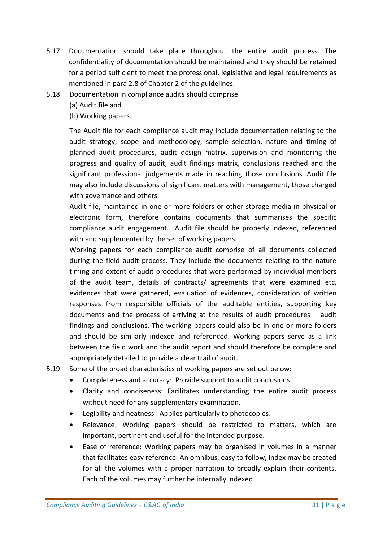- 5.17 Documentation should take place throughout the entire audit process. The confidentiality of documentation should be maintained and they should be retained for a period sufficient to meet the professional, legislative and legal requirements as mentioned in para 2.8 of Chapter 2 of the guidelines.
- 5.18 Documentation in compliance audits should comprise

(a) Audit file and

(b) Working papers.

The Audit file for each compliance audit may include documentation relating to the audit strategy, scope and methodology, sample selection, nature and timing of planned audit procedures, audit design matrix, supervision and monitoring the progress and quality of audit, audit findings matrix, conclusions reached and the significant professional judgements made in reaching those conclusions. Audit file may also include discussions of significant matters with management, those charged with governance and others.

Audit file, maintained in one or more folders or other storage media in physical or electronic form, therefore contains documents that summarises the specific compliance audit engagement. Audit file should be properly indexed, referenced with and supplemented by the set of working papers.

Working papers for each compliance audit comprise of all documents collected during the field audit process. They include the documents relating to the nature timing and extent of audit procedures that were performed by individual members of the audit team, details of contracts/ agreements that were examined etc, evidences that were gathered, evaluation of evidences, consideration of written responses from responsible officials of the auditable entities, supporting key documents and the process of arriving at the results of audit procedures – audit findings and conclusions. The working papers could also be in one or more folders and should be similarly indexed and referenced. Working papers serve as a link between the field work and the audit report and should therefore be complete and appropriately detailed to provide a clear trail of audit.

5.19 Some of the broad characteristics of working papers are set out below:

- Completeness and accuracy: Provide support to audit conclusions.
- Clarity and conciseness: Facilitates understanding the entire audit process without need for any supplementary examination.
- Legibility and neatness : Applies particularly to photocopies.
- Relevance: Working papers should be restricted to matters, which are important, pertinent and useful for the intended purpose.
- Ease of reference: Working papers may be organised in volumes in a manner that facilitates easy reference. An omnibus, easy to follow, index may be created for all the volumes with a proper narration to broadly explain their contents. Each of the volumes may further be internally indexed.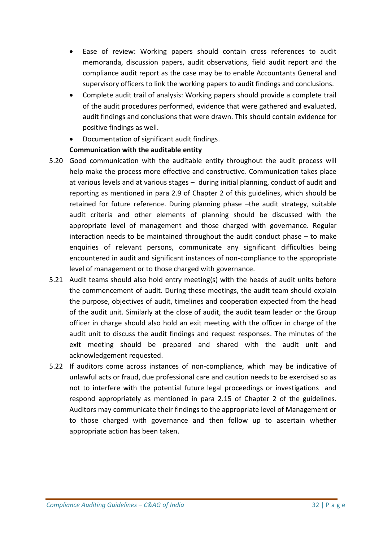- Ease of review: Working papers should contain cross references to audit memoranda, discussion papers, audit observations, field audit report and the compliance audit report as the case may be to enable Accountants General and supervisory officers to link the working papers to audit findings and conclusions.
- Complete audit trail of analysis: Working papers should provide a complete trail of the audit procedures performed, evidence that were gathered and evaluated, audit findings and conclusions that were drawn. This should contain evidence for positive findings as well.
- Documentation of significant audit findings.

# **Communication with the auditable entity**

- 5.20 Good communication with the auditable entity throughout the audit process will help make the process more effective and constructive. Communication takes place at various levels and at various stages – during initial planning, conduct of audit and reporting as mentioned in para 2.9 of Chapter 2 of this guidelines, which should be retained for future reference. During planning phase –the audit strategy, suitable audit criteria and other elements of planning should be discussed with the appropriate level of management and those charged with governance. Regular interaction needs to be maintained throughout the audit conduct phase – to make enquiries of relevant persons, communicate any significant difficulties being encountered in audit and significant instances of non-compliance to the appropriate level of management or to those charged with governance.
- 5.21 Audit teams should also hold entry meeting(s) with the heads of audit units before the commencement of audit. During these meetings, the audit team should explain the purpose, objectives of audit, timelines and cooperation expected from the head of the audit unit. Similarly at the close of audit, the audit team leader or the Group officer in charge should also hold an exit meeting with the officer in charge of the audit unit to discuss the audit findings and request responses. The minutes of the exit meeting should be prepared and shared with the audit unit and acknowledgement requested.
- 5.22 If auditors come across instances of non-compliance, which may be indicative of unlawful acts or fraud, due professional care and caution needs to be exercised so as not to interfere with the potential future legal proceedings or investigations and respond appropriately as mentioned in para 2.15 of Chapter 2 of the guidelines. Auditors may communicate their findings to the appropriate level of Management or to those charged with governance and then follow up to ascertain whether appropriate action has been taken.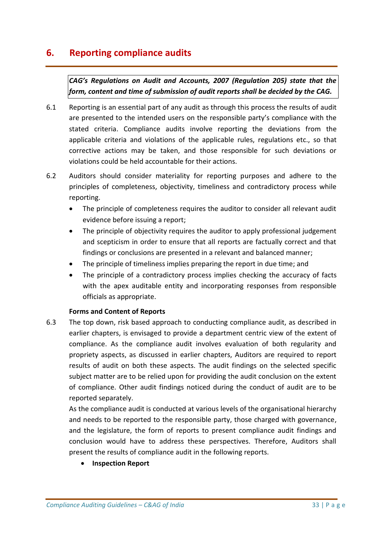# **6. Reporting compliance audits**

*CAG's Regulations on Audit and Accounts, 2007 (Regulation 205) state that the form, content and time of submission of audit reports shall be decided by the CAG.* 

- 6.1 Reporting is an essential part of any audit as through this process the results of audit are presented to the intended users on the responsible party's compliance with the stated criteria. Compliance audits involve reporting the deviations from the applicable criteria and violations of the applicable rules, regulations etc., so that corrective actions may be taken, and those responsible for such deviations or violations could be held accountable for their actions.
- 6.2 Auditors should consider materiality for reporting purposes and adhere to the principles of completeness, objectivity, timeliness and contradictory process while reporting.
	- The principle of completeness requires the auditor to consider all relevant audit evidence before issuing a report;
	- The principle of objectivity requires the auditor to apply professional judgement and scepticism in order to ensure that all reports are factually correct and that findings or conclusions are presented in a relevant and balanced manner;
	- The principle of timeliness implies preparing the report in due time; and
	- The principle of a contradictory process implies checking the accuracy of facts with the apex auditable entity and incorporating responses from responsible officials as appropriate.

### **Forms and Content of Reports**

6.3 The top down, risk based approach to conducting compliance audit, as described in earlier chapters, is envisaged to provide a department centric view of the extent of compliance. As the compliance audit involves evaluation of both regularity and propriety aspects, as discussed in earlier chapters, Auditors are required to report results of audit on both these aspects. The audit findings on the selected specific subject matter are to be relied upon for providing the audit conclusion on the extent of compliance. Other audit findings noticed during the conduct of audit are to be reported separately.

As the compliance audit is conducted at various levels of the organisational hierarchy and needs to be reported to the responsible party, those charged with governance, and the legislature, the form of reports to present compliance audit findings and conclusion would have to address these perspectives. Therefore, Auditors shall present the results of compliance audit in the following reports.

**Inspection Report**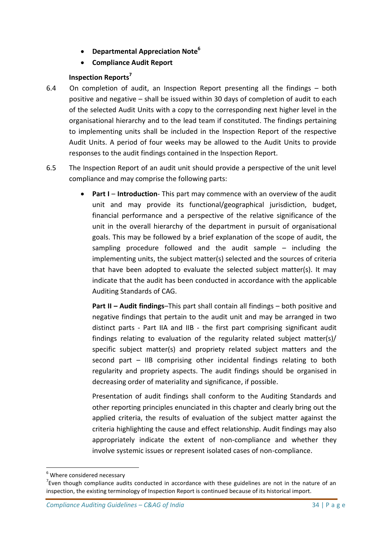- **Departmental Appreciation Note<sup>6</sup>**
- **Compliance Audit Report**

# **Inspection Reports<sup>7</sup>**

- 6.4 On completion of audit, an Inspection Report presenting all the findings both positive and negative – shall be issued within 30 days of completion of audit to each of the selected Audit Units with a copy to the corresponding next higher level in the organisational hierarchy and to the lead team if constituted. The findings pertaining to implementing units shall be included in the Inspection Report of the respective Audit Units. A period of four weeks may be allowed to the Audit Units to provide responses to the audit findings contained in the Inspection Report.
- 6.5 The Inspection Report of an audit unit should provide a perspective of the unit level compliance and may comprise the following parts:
	- **Part I Introduction** This part may commence with an overview of the audit unit and may provide its functional/geographical jurisdiction, budget, financial performance and a perspective of the relative significance of the unit in the overall hierarchy of the department in pursuit of organisational goals. This may be followed by a brief explanation of the scope of audit, the sampling procedure followed and the audit sample – including the implementing units, the subject matter(s) selected and the sources of criteria that have been adopted to evaluate the selected subject matter(s). It may indicate that the audit has been conducted in accordance with the applicable Auditing Standards of CAG.

**Part II – Audit findings**–This part shall contain all findings – both positive and negative findings that pertain to the audit unit and may be arranged in two distinct parts - Part IIA and IIB - the first part comprising significant audit findings relating to evaluation of the regularity related subject matter(s)/ specific subject matter(s) and propriety related subject matters and the second part – IIB comprising other incidental findings relating to both regularity and propriety aspects. The audit findings should be organised in decreasing order of materiality and significance, if possible.

Presentation of audit findings shall conform to the Auditing Standards and other reporting principles enunciated in this chapter and clearly bring out the applied criteria, the results of evaluation of the subject matter against the criteria highlighting the cause and effect relationship. Audit findings may also appropriately indicate the extent of non-compliance and whether they involve systemic issues or represent isolated cases of non-compliance.

**.** 

 $6$  Where considered necessary

 $7$  Even though compliance audits conducted in accordance with these guidelines are not in the nature of an inspection, the existing terminology of Inspection Report is continued because of its historical import.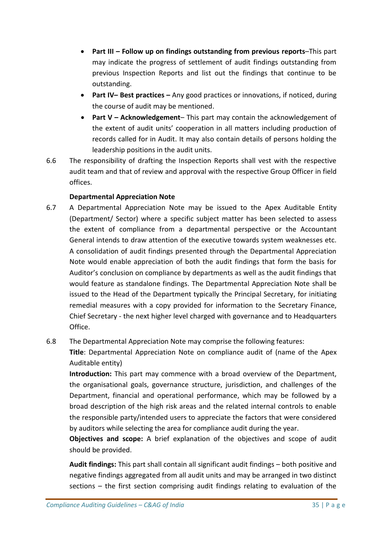- **Part III – Follow up on findings outstanding from previous reports**–This part may indicate the progress of settlement of audit findings outstanding from previous Inspection Reports and list out the findings that continue to be outstanding.
- **Part IV– Best practices –** Any good practices or innovations, if noticed, during the course of audit may be mentioned.
- **Part V – Acknowledgement** This part may contain the acknowledgement of the extent of audit units' cooperation in all matters including production of records called for in Audit. It may also contain details of persons holding the leadership positions in the audit units.
- 6.6 The responsibility of drafting the Inspection Reports shall vest with the respective audit team and that of review and approval with the respective Group Officer in field offices.

# **Departmental Appreciation Note**

6.7 A Departmental Appreciation Note may be issued to the Apex Auditable Entity (Department/ Sector) where a specific subject matter has been selected to assess the extent of compliance from a departmental perspective or the Accountant General intends to draw attention of the executive towards system weaknesses etc. A consolidation of audit findings presented through the Departmental Appreciation Note would enable appreciation of both the audit findings that form the basis for Auditor's conclusion on compliance by departments as well as the audit findings that would feature as standalone findings. The Departmental Appreciation Note shall be issued to the Head of the Department typically the Principal Secretary, for initiating remedial measures with a copy provided for information to the Secretary Finance, Chief Secretary - the next higher level charged with governance and to Headquarters Office.

# 6.8 The Departmental Appreciation Note may comprise the following features:

**Title**: Departmental Appreciation Note on compliance audit of (name of the Apex Auditable entity)

**Introduction:** This part may commence with a broad overview of the Department, the organisational goals, governance structure, jurisdiction, and challenges of the Department, financial and operational performance, which may be followed by a broad description of the high risk areas and the related internal controls to enable the responsible party/intended users to appreciate the factors that were considered by auditors while selecting the area for compliance audit during the year.

**Objectives and scope:** A brief explanation of the objectives and scope of audit should be provided.

**Audit findings:** This part shall contain all significant audit findings – both positive and negative findings aggregated from all audit units and may be arranged in two distinct sections – the first section comprising audit findings relating to evaluation of the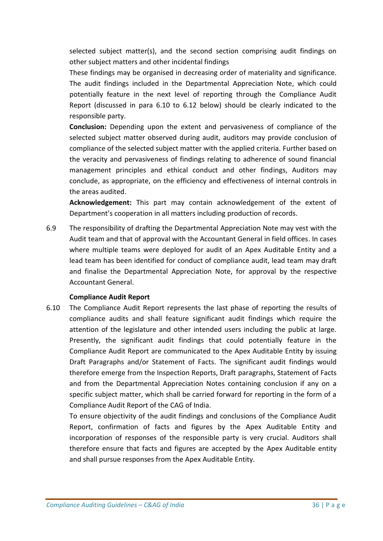selected subject matter(s), and the second section comprising audit findings on other subject matters and other incidental findings

These findings may be organised in decreasing order of materiality and significance. The audit findings included in the Departmental Appreciation Note, which could potentially feature in the next level of reporting through the Compliance Audit Report (discussed in para 6.10 to 6.12 below) should be clearly indicated to the responsible party.

**Conclusion:** Depending upon the extent and pervasiveness of compliance of the selected subject matter observed during audit, auditors may provide conclusion of compliance of the selected subject matter with the applied criteria. Further based on the veracity and pervasiveness of findings relating to adherence of sound financial management principles and ethical conduct and other findings, Auditors may conclude, as appropriate, on the efficiency and effectiveness of internal controls in the areas audited.

**Acknowledgement:** This part may contain acknowledgement of the extent of Department's cooperation in all matters including production of records.

6.9 The responsibility of drafting the Departmental Appreciation Note may vest with the Audit team and that of approval with the Accountant General in field offices. In cases where multiple teams were deployed for audit of an Apex Auditable Entity and a lead team has been identified for conduct of compliance audit, lead team may draft and finalise the Departmental Appreciation Note, for approval by the respective Accountant General.

### **Compliance Audit Report**

6.10 The Compliance Audit Report represents the last phase of reporting the results of compliance audits and shall feature significant audit findings which require the attention of the legislature and other intended users including the public at large. Presently, the significant audit findings that could potentially feature in the Compliance Audit Report are communicated to the Apex Auditable Entity by issuing Draft Paragraphs and/or Statement of Facts. The significant audit findings would therefore emerge from the Inspection Reports, Draft paragraphs, Statement of Facts and from the Departmental Appreciation Notes containing conclusion if any on a specific subject matter, which shall be carried forward for reporting in the form of a Compliance Audit Report of the CAG of India.

To ensure objectivity of the audit findings and conclusions of the Compliance Audit Report, confirmation of facts and figures by the Apex Auditable Entity and incorporation of responses of the responsible party is very crucial. Auditors shall therefore ensure that facts and figures are accepted by the Apex Auditable entity and shall pursue responses from the Apex Auditable Entity.